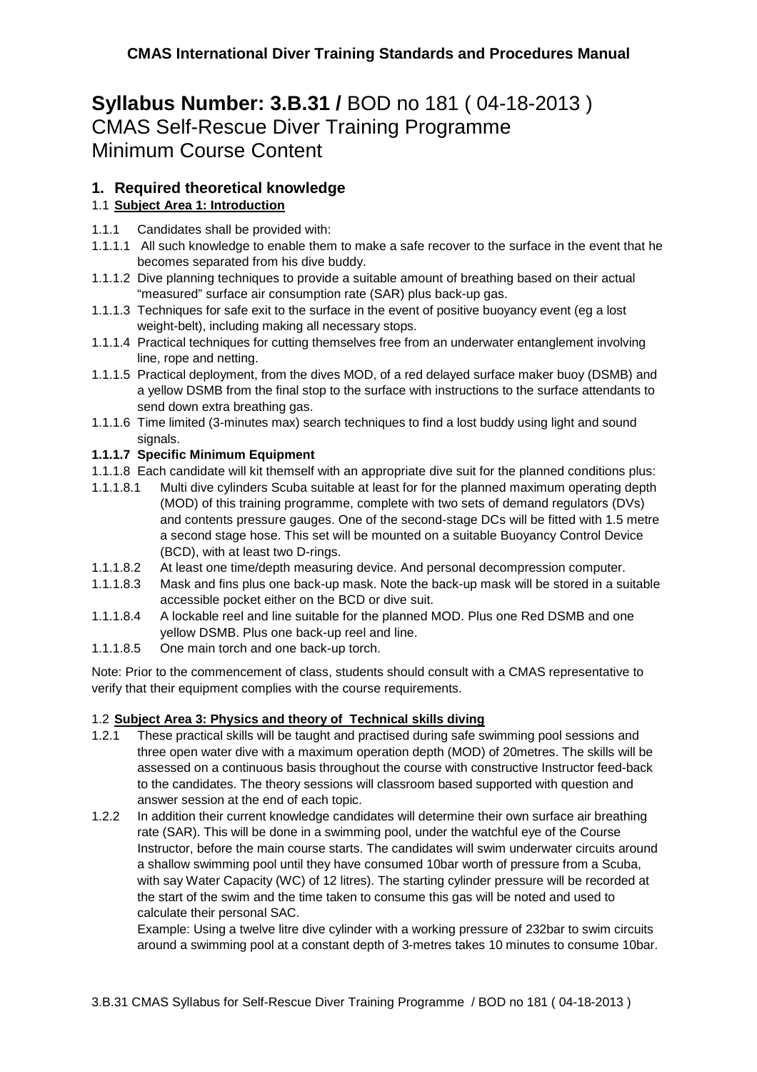# **Syllabus Number: 3.B.31 /** BOD no 181 ( 04-18-2013 ) CMAS Self-Rescue Diver Training Programme Minimum Course Content

# **1. Required theoretical knowledge**

# 1.1 **Subject Area 1: Introduction**

- 1.1.1 Candidates shall be provided with:
- 1.1.1.1 All such knowledge to enable them to make a safe recover to the surface in the event that he becomes separated from his dive buddy.
- 1.1.1.2 Dive planning techniques to provide a suitable amount of breathing based on their actual "measured" surface air consumption rate (SAR) plus back-up gas.
- 1.1.1.3 Techniques for safe exit to the surface in the event of positive buoyancy event (eg a lost weight-belt), including making all necessary stops.
- 1.1.1.4 Practical techniques for cutting themselves free from an underwater entanglement involving line, rope and netting.
- 1.1.1.5 Practical deployment, from the dives MOD, of a red delayed surface maker buoy (DSMB) and a yellow DSMB from the final stop to the surface with instructions to the surface attendants to send down extra breathing gas.
- 1.1.1.6 Time limited (3-minutes max) search techniques to find a lost buddy using light and sound signals.

## **1.1.1.7 Specific Minimum Equipment**

1.1.1.8 Each candidate will kit themself with an appropriate dive suit for the planned conditions plus:

- 1.1.1.8.1 Multi dive cylinders Scuba suitable at least for for the planned maximum operating depth (MOD) of this training programme, complete with two sets of demand regulators (DVs) and contents pressure gauges. One of the second-stage DCs will be fitted with 1.5 metre a second stage hose. This set will be mounted on a suitable Buoyancy Control Device (BCD), with at least two D-rings.
- 1.1.1.8.2 At least one time/depth measuring device. And personal decompression computer.
- 1.1.1.8.3 Mask and fins plus one back-up mask. Note the back-up mask will be stored in a suitable accessible pocket either on the BCD or dive suit.
- 1.1.1.8.4 A lockable reel and line suitable for the planned MOD. Plus one Red DSMB and one yellow DSMB. Plus one back-up reel and line.
- 1.1.1.8.5 One main torch and one back-up torch.

Note: Prior to the commencement of class, students should consult with a CMAS representative to verify that their equipment complies with the course requirements.

### 1.2 **Subject Area 3: Physics and theory of Technical skills diving**

- 1.2.1 These practical skills will be taught and practised during safe swimming pool sessions and three open water dive with a maximum operation depth (MOD) of 20metres. The skills will be assessed on a continuous basis throughout the course with constructive Instructor feed-back to the candidates. The theory sessions will classroom based supported with question and answer session at the end of each topic.
- 1.2.2 In addition their current knowledge candidates will determine their own surface air breathing rate (SAR). This will be done in a swimming pool, under the watchful eve of the Course Instructor, before the main course starts. The candidates will swim underwater circuits around a shallow swimming pool until they have consumed 10bar worth of pressure from a Scuba, with say Water Capacity (WC) of 12 litres). The starting cylinder pressure will be recorded at the start of the swim and the time taken to consume this gas will be noted and used to calculate their personal SAC.

Example: Using a twelve litre dive cylinder with a working pressure of 232bar to swim circuits around a swimming pool at a constant depth of 3-metres takes 10 minutes to consume 10bar.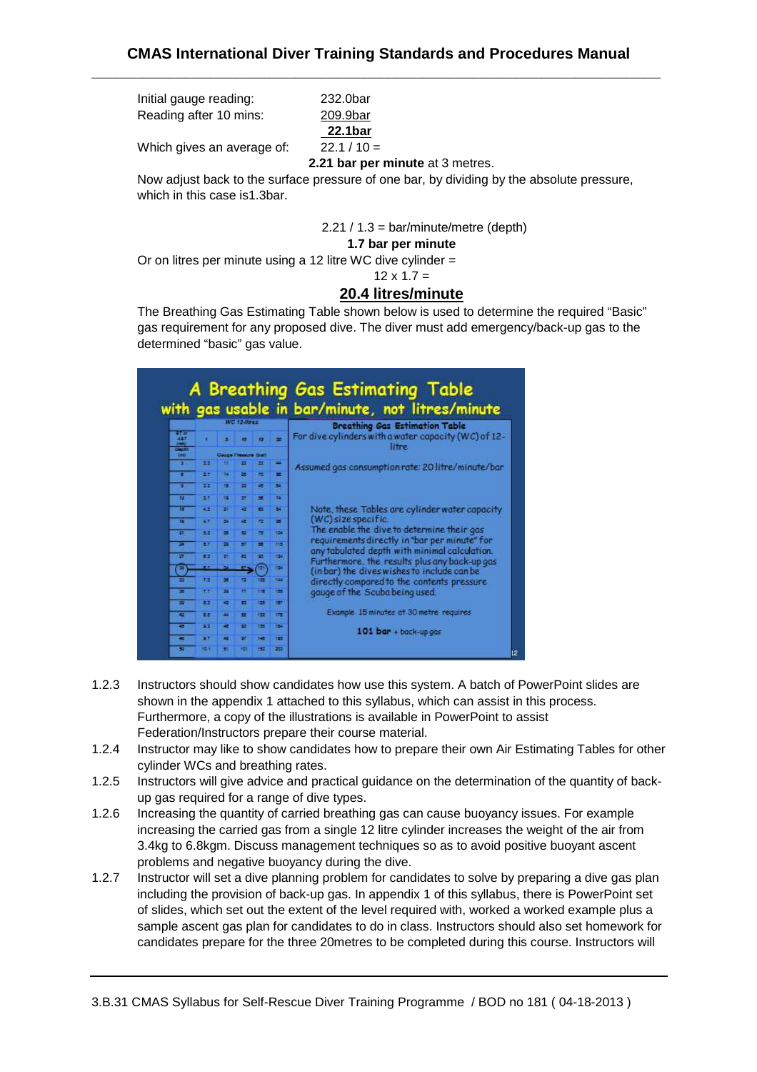Initial gauge reading: 232.0bar Reading after 10 mins: 209.9bar

**22.1bar**

Which gives an average of:  $22.1 / 10 =$ 

**2.21 bar per minute** at 3 metres.

Now adjust back to the surface pressure of one bar, by dividing by the absolute pressure, which in this case is1.3bar.

 $2.21 / 1.3 = \text{bar/minute/metre}$  (depth)

#### **1.7 bar per minute**

Or on litres per minute using a 12 litre WC dive cylinder =

#### $12 \times 1.7 =$ **20.4 litres/minute**

The Breathing Gas Estimating Table shown below is used to determine the required "Basic" gas requirement for any proposed dive. The diver must add emergency/back-up gas to the determined "basic" gas value.



- 1.2.3 Instructors should show candidates how use this system. A batch of PowerPoint slides are shown in the appendix 1 attached to this syllabus, which can assist in this process. Furthermore, a copy of the illustrations is available in PowerPoint to assist Federation/Instructors prepare their course material.
- 1.2.4 Instructor may like to show candidates how to prepare their own Air Estimating Tables for other cylinder WCs and breathing rates.
- 1.2.5 Instructors will give advice and practical guidance on the determination of the quantity of backup gas required for a range of dive types.
- 1.2.6 Increasing the quantity of carried breathing gas can cause buoyancy issues. For example increasing the carried gas from a single 12 litre cylinder increases the weight of the air from 3.4kg to 6.8kgm. Discuss management techniques so as to avoid positive buoyant ascent problems and negative buoyancy during the dive.
- 1.2.7 Instructor will set a dive planning problem for candidates to solve by preparing a dive gas plan including the provision of back-up gas. In appendix 1 of this syllabus, there is PowerPoint set of slides, which set out the extent of the level required with, worked a worked example plus a sample ascent gas plan for candidates to do in class. Instructors should also set homework for candidates prepare for the three 20metres to be completed during this course. Instructors will